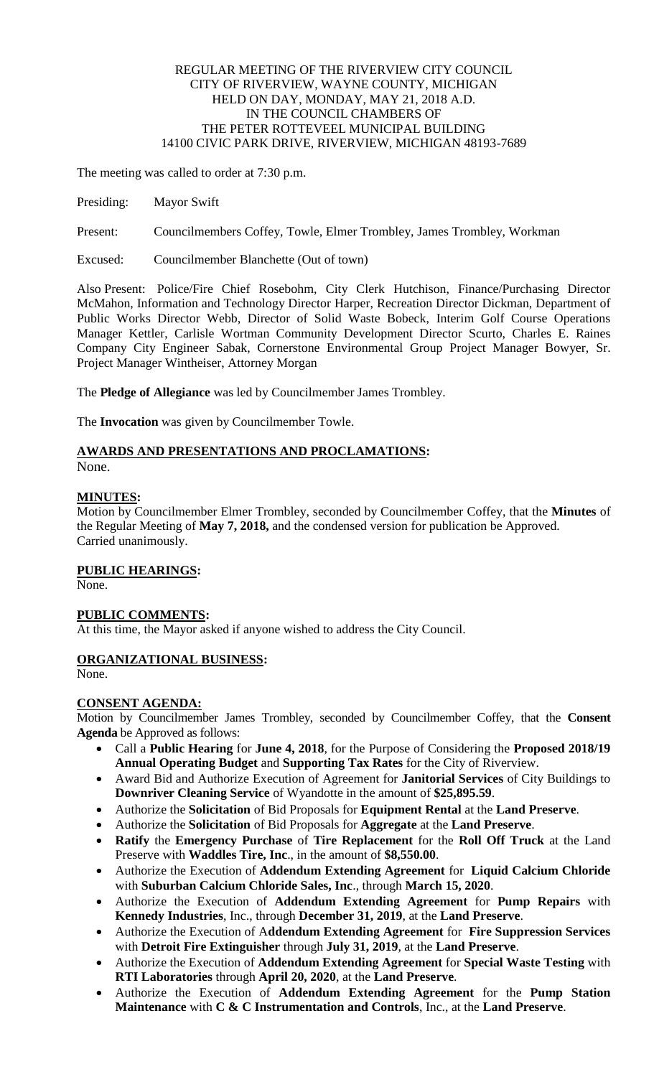#### REGULAR MEETING OF THE RIVERVIEW CITY COUNCIL CITY OF RIVERVIEW, WAYNE COUNTY, MICHIGAN HELD ON DAY, MONDAY, MAY 21, 2018 A.D. IN THE COUNCIL CHAMBERS OF THE PETER ROTTEVEEL MUNICIPAL BUILDING 14100 CIVIC PARK DRIVE, RIVERVIEW, MICHIGAN 48193-7689

The meeting was called to order at 7:30 p.m.

Presiding: Mayor Swift

Present: Councilmembers Coffey, Towle, Elmer Trombley, James Trombley, Workman

Excused: Councilmember Blanchette (Out of town)

Also Present: Police/Fire Chief Rosebohm, City Clerk Hutchison, Finance/Purchasing Director McMahon, Information and Technology Director Harper, Recreation Director Dickman, Department of Public Works Director Webb, Director of Solid Waste Bobeck, Interim Golf Course Operations Manager Kettler, Carlisle Wortman Community Development Director Scurto, Charles E. Raines Company City Engineer Sabak, Cornerstone Environmental Group Project Manager Bowyer, Sr. Project Manager Wintheiser, Attorney Morgan

The **Pledge of Allegiance** was led by Councilmember James Trombley.

The **Invocation** was given by Councilmember Towle.

# **AWARDS AND PRESENTATIONS AND PROCLAMATIONS:**

None.

## **MINUTES:**

Motion by Councilmember Elmer Trombley, seconded by Councilmember Coffey, that the **Minutes** of the Regular Meeting of **May 7, 2018,** and the condensed version for publication be Approved. Carried unanimously.

## **PUBLIC HEARINGS:**

None.

## **PUBLIC COMMENTS:**

At this time, the Mayor asked if anyone wished to address the City Council.

## **ORGANIZATIONAL BUSINESS:**

None.

## **CONSENT AGENDA:**

Motion by Councilmember James Trombley, seconded by Councilmember Coffey, that the **Consent Agenda** be Approved as follows:

- Call a **Public Hearing** for **June 4, 2018**, for the Purpose of Considering the **Proposed 2018/19 Annual Operating Budget** and **Supporting Tax Rates** for the City of Riverview.
- Award Bid and Authorize Execution of Agreement for **Janitorial Services** of City Buildings to **Downriver Cleaning Service** of Wyandotte in the amount of **\$25,895.59**.
- Authorize the **Solicitation** of Bid Proposals for **Equipment Rental** at the **Land Preserve**.
- Authorize the **Solicitation** of Bid Proposals for **Aggregate** at the **Land Preserve**.
- **Ratify** the **Emergency Purchase** of **Tire Replacement** for the **Roll Off Truck** at the Land Preserve with **Waddles Tire, Inc**., in the amount of **\$8,550.00**.
- Authorize the Execution of **Addendum Extending Agreement** for **Liquid Calcium Chloride** with **Suburban Calcium Chloride Sales, Inc**., through **March 15, 2020**.
- Authorize the Execution of **Addendum Extending Agreement** for **Pump Repairs** with **Kennedy Industries**, Inc., through **December 31, 2019**, at the **Land Preserve**.
- Authorize the Execution of A**ddendum Extending Agreement** for **Fire Suppression Services** with **Detroit Fire Extinguisher** through **July 31, 2019**, at the **Land Preserve**.
- Authorize the Execution of **Addendum Extending Agreement** for **Special Waste Testing** with **RTI Laboratories** through **April 20, 2020**, at the **Land Preserve**.
- Authorize the Execution of **Addendum Extending Agreement** for the **Pump Station Maintenance** with **C & C Instrumentation and Controls**, Inc., at the **Land Preserve**.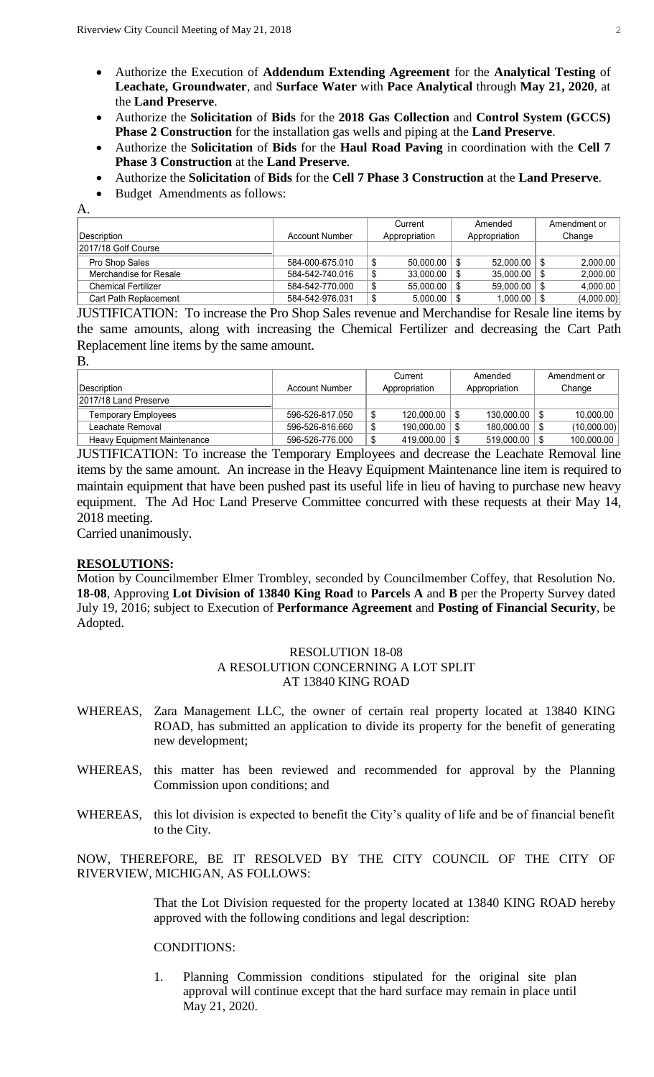- Authorize the Execution of **Addendum Extending Agreement** for the **Analytical Testing** of **Leachate, Groundwater**, and **Surface Water** with **Pace Analytical** through **May 21, 2020**, at the **Land Preserve**.
- Authorize the **Solicitation** of **Bids** for the **2018 Gas Collection** and **Control System (GCCS) Phase 2 Construction** for the installation gas wells and piping at the **Land Preserve**.
- Authorize the **Solicitation** of **Bids** for the **Haul Road Paving** in coordination with the **Cell 7 Phase 3 Construction** at the **Land Preserve**.
- Authorize the **Solicitation** of **Bids** for the **Cell 7 Phase 3 Construction** at the **Land Preserve**.
- Budget Amendments as follows:

|                            |                       | Current |                  | Amended |               | Amendment or |            |
|----------------------------|-----------------------|---------|------------------|---------|---------------|--------------|------------|
| Description                | <b>Account Number</b> |         | Appropriation    |         | Appropriation |              | Change     |
| 2017/18 Golf Course        |                       |         |                  |         |               |              |            |
| Pro Shop Sales             | 584-000-675.010       |         | $50,000.00$   \$ |         | 52,000.00     |              | 2,000.00   |
| Merchandise for Resale     | 584-542-740.016       |         | 33,000.00        |         | 35,000.00     |              | 2,000.00   |
| <b>Chemical Fertilizer</b> | 584-542-770.000       |         | 55,000.00        |         | 59,000.00     |              | 4,000.00   |
| Cart Path Replacement      | 584-542-976.031       |         | $5,000.00$   \$  |         | 1,000.00      |              | (4,000.00) |

JUSTIFICATION: To increase the Pro Shop Sales revenue and Merchandise for Resale line items by the same amounts, along with increasing the Chemical Fertilizer and decreasing the Cart Path Replacement line items by the same amount.

| ×<br>I<br>۰. | ×<br>۰. |
|--------------|---------|
|              |         |

A.

|                                    |                       | Current              | Amended           | Amendment or |  |
|------------------------------------|-----------------------|----------------------|-------------------|--------------|--|
| <b>Description</b>                 | <b>Account Number</b> | Appropriation        | Appropriation     | Change       |  |
| 2017/18 Land Preserve              |                       |                      |                   |              |  |
| <b>Temporary Employees</b>         | 596-526-817.050       | 120.000.00<br>ጥ<br>ึ | $130.000.00$   \$ | 10.000.00    |  |
| Leachate Removal                   | 596-526-816.660       | 190.000.00<br>ູພ     | $180.000.00$   \$ | (10,000.00)  |  |
| <b>Heavy Equipment Maintenance</b> | 596-526-776.000       | 419.000.00           | $519.000.00$   \$ | 100.000.00   |  |

JUSTIFICATION: To increase the Temporary Employees and decrease the Leachate Removal line items by the same amount. An increase in the Heavy Equipment Maintenance line item is required to maintain equipment that have been pushed past its useful life in lieu of having to purchase new heavy equipment. The Ad Hoc Land Preserve Committee concurred with these requests at their May 14, 2018 meeting.

Carried unanimously.

### **RESOLUTIONS:**

Motion by Councilmember Elmer Trombley, seconded by Councilmember Coffey, that Resolution No. **18-08**, Approving **Lot Division of 13840 King Road** to **Parcels A** and **B** per the Property Survey dated July 19, 2016; subject to Execution of **Performance Agreement** and **Posting of Financial Security**, be Adopted.

#### RESOLUTION 18-08 A RESOLUTION CONCERNING A LOT SPLIT AT 13840 KING ROAD

- WHEREAS, Zara Management LLC, the owner of certain real property located at 13840 KING ROAD, has submitted an application to divide its property for the benefit of generating new development;
- WHEREAS, this matter has been reviewed and recommended for approval by the Planning Commission upon conditions; and
- WHEREAS, this lot division is expected to benefit the City's quality of life and be of financial benefit to the City.

NOW, THEREFORE, BE IT RESOLVED BY THE CITY COUNCIL OF THE CITY OF RIVERVIEW, MICHIGAN, AS FOLLOWS:

> That the Lot Division requested for the property located at 13840 KING ROAD hereby approved with the following conditions and legal description:

#### CONDITIONS:

1. Planning Commission conditions stipulated for the original site plan approval will continue except that the hard surface may remain in place until May 21, 2020.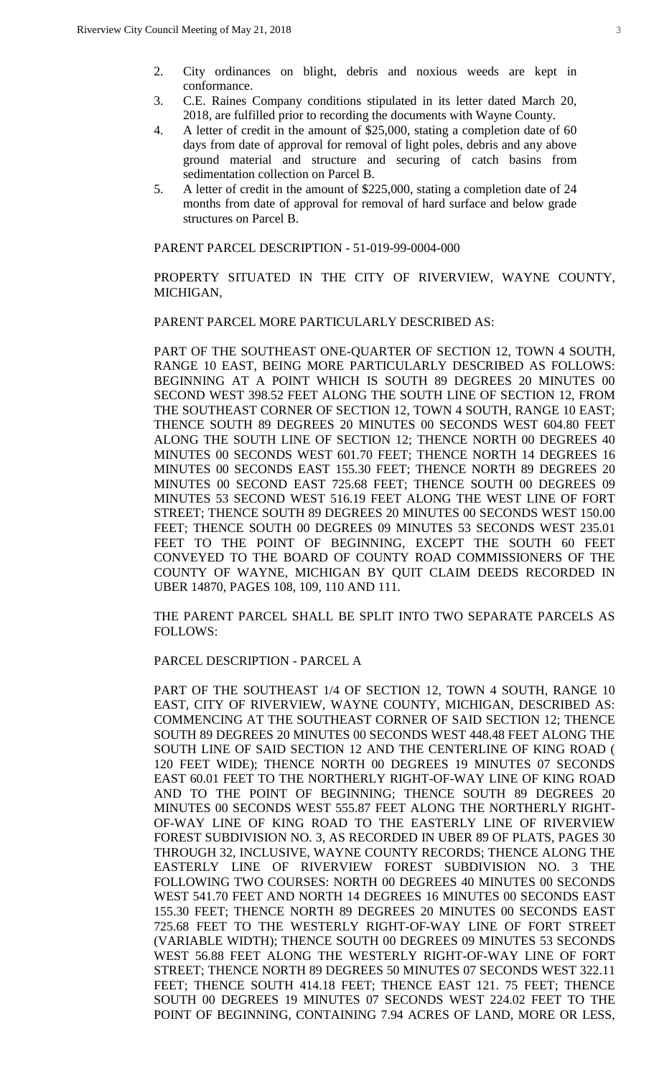- 2. City ordinances on blight, debris and noxious weeds are kept in conformance.
- 3. C.E. Raines Company conditions stipulated in its letter dated March 20, 2018, are fulfilled prior to recording the documents with Wayne County.
- 4. A letter of credit in the amount of \$25,000, stating a completion date of 60 days from date of approval for removal of light poles, debris and any above ground material and structure and securing of catch basins from sedimentation collection on Parcel B.
- 5. A letter of credit in the amount of \$225,000, stating a completion date of 24 months from date of approval for removal of hard surface and below grade structures on Parcel B.

PARENT PARCEL DESCRIPTION - 51-019-99-0004-000

PROPERTY SITUATED IN THE CITY OF RIVERVIEW, WAYNE COUNTY, MICHIGAN,

PARENT PARCEL MORE PARTICULARLY DESCRIBED AS:

PART OF THE SOUTHEAST ONE-QUARTER OF SECTION 12, TOWN 4 SOUTH, RANGE 10 EAST, BEING MORE PARTICULARLY DESCRIBED AS FOLLOWS: BEGINNING AT A POINT WHICH IS SOUTH 89 DEGREES 20 MINUTES 00 SECOND WEST 398.52 FEET ALONG THE SOUTH LINE OF SECTION 12, FROM THE SOUTHEAST CORNER OF SECTION 12, TOWN 4 SOUTH, RANGE 10 EAST; THENCE SOUTH 89 DEGREES 20 MINUTES 00 SECONDS WEST 604.80 FEET ALONG THE SOUTH LINE OF SECTION 12; THENCE NORTH 00 DEGREES 40 MINUTES 00 SECONDS WEST 601.70 FEET; THENCE NORTH 14 DEGREES 16 MINUTES 00 SECONDS EAST 155.30 FEET; THENCE NORTH 89 DEGREES 20 MINUTES 00 SECOND EAST 725.68 FEET; THENCE SOUTH 00 DEGREES 09 MINUTES 53 SECOND WEST 516.19 FEET ALONG THE WEST LINE OF FORT STREET; THENCE SOUTH 89 DEGREES 20 MINUTES 00 SECONDS WEST 150.00 FEET; THENCE SOUTH 00 DEGREES 09 MINUTES 53 SECONDS WEST 235.01 FEET TO THE POINT OF BEGINNING, EXCEPT THE SOUTH 60 FEET CONVEYED TO THE BOARD OF COUNTY ROAD COMMISSIONERS OF THE COUNTY OF WAYNE, MICHIGAN BY QUIT CLAIM DEEDS RECORDED IN UBER 14870, PAGES 108, 109, 110 AND 111.

THE PARENT PARCEL SHALL BE SPLIT INTO TWO SEPARATE PARCELS AS FOLLOWS:

#### PARCEL DESCRIPTION - PARCEL A

PART OF THE SOUTHEAST 1/4 OF SECTION 12, TOWN 4 SOUTH, RANGE 10 EAST, CITY OF RIVERVIEW, WAYNE COUNTY, MICHIGAN, DESCRIBED AS: COMMENCING AT THE SOUTHEAST CORNER OF SAID SECTION 12; THENCE SOUTH 89 DEGREES 20 MINUTES 00 SECONDS WEST 448.48 FEET ALONG THE SOUTH LINE OF SAID SECTION 12 AND THE CENTERLINE OF KING ROAD ( 120 FEET WIDE); THENCE NORTH 00 DEGREES 19 MINUTES 07 SECONDS EAST 60.01 FEET TO THE NORTHERLY RIGHT-OF-WAY LINE OF KING ROAD AND TO THE POINT OF BEGINNING; THENCE SOUTH 89 DEGREES 20 MINUTES 00 SECONDS WEST 555.87 FEET ALONG THE NORTHERLY RIGHT-OF-WAY LINE OF KING ROAD TO THE EASTERLY LINE OF RIVERVIEW FOREST SUBDIVISION NO. 3, AS RECORDED IN UBER 89 OF PLATS, PAGES 30 THROUGH 32, INCLUSIVE, WAYNE COUNTY RECORDS; THENCE ALONG THE EASTERLY LINE OF RIVERVIEW FOREST SUBDIVISION NO. 3 THE FOLLOWING TWO COURSES: NORTH 00 DEGREES 40 MINUTES 00 SECONDS WEST 541.70 FEET AND NORTH 14 DEGREES 16 MINUTES 00 SECONDS EAST 155.30 FEET; THENCE NORTH 89 DEGREES 20 MINUTES 00 SECONDS EAST 725.68 FEET TO THE WESTERLY RIGHT-OF-WAY LINE OF FORT STREET (VARIABLE WIDTH); THENCE SOUTH 00 DEGREES 09 MINUTES 53 SECONDS WEST 56.88 FEET ALONG THE WESTERLY RIGHT-OF-WAY LINE OF FORT STREET; THENCE NORTH 89 DEGREES 50 MINUTES 07 SECONDS WEST 322.11 FEET; THENCE SOUTH 414.18 FEET; THENCE EAST 121. 75 FEET; THENCE SOUTH 00 DEGREES 19 MINUTES 07 SECONDS WEST 224.02 FEET TO THE POINT OF BEGINNING, CONTAINING 7.94 ACRES OF LAND, MORE OR LESS,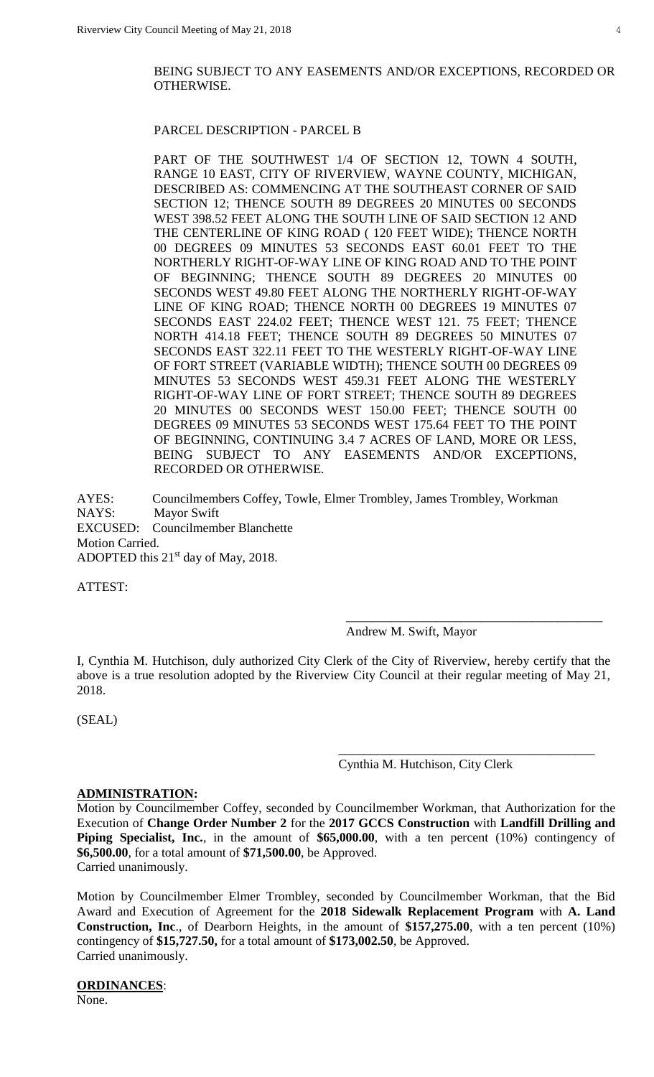#### BEING SUBJECT TO ANY EASEMENTS AND/OR EXCEPTIONS, RECORDED OR OTHERWISE.

#### PARCEL DESCRIPTION - PARCEL B

PART OF THE SOUTHWEST 1/4 OF SECTION 12, TOWN 4 SOUTH, RANGE 10 EAST, CITY OF RIVERVIEW, WAYNE COUNTY, MICHIGAN, DESCRIBED AS: COMMENCING AT THE SOUTHEAST CORNER OF SAID SECTION 12; THENCE SOUTH 89 DEGREES 20 MINUTES 00 SECONDS WEST 398.52 FEET ALONG THE SOUTH LINE OF SAID SECTION 12 AND THE CENTERLINE OF KING ROAD ( 120 FEET WIDE); THENCE NORTH 00 DEGREES 09 MINUTES 53 SECONDS EAST 60.01 FEET TO THE NORTHERLY RIGHT-OF-WAY LINE OF KING ROAD AND TO THE POINT OF BEGINNING; THENCE SOUTH 89 DEGREES 20 MINUTES 00 SECONDS WEST 49.80 FEET ALONG THE NORTHERLY RIGHT-OF-WAY LINE OF KING ROAD; THENCE NORTH 00 DEGREES 19 MINUTES 07 SECONDS EAST 224.02 FEET; THENCE WEST 121. 75 FEET; THENCE NORTH 414.18 FEET; THENCE SOUTH 89 DEGREES 50 MINUTES 07 SECONDS EAST 322.11 FEET TO THE WESTERLY RIGHT-OF-WAY LINE OF FORT STREET (VARIABLE WIDTH); THENCE SOUTH 00 DEGREES 09 MINUTES 53 SECONDS WEST 459.31 FEET ALONG THE WESTERLY RIGHT-OF-WAY LINE OF FORT STREET; THENCE SOUTH 89 DEGREES 20 MINUTES 00 SECONDS WEST 150.00 FEET; THENCE SOUTH 00 DEGREES 09 MINUTES 53 SECONDS WEST 175.64 FEET TO THE POINT OF BEGINNING, CONTINUING 3.4 7 ACRES OF LAND, MORE OR LESS, BEING SUBJECT TO ANY EASEMENTS AND/OR EXCEPTIONS, RECORDED OR OTHERWISE.

AYES: Councilmembers Coffey, Towle, Elmer Trombley, James Trombley, Workman NAYS: Mayor Swift EXCUSED: Councilmember Blanchette Motion Carried. ADOPTED this 21<sup>st</sup> day of May, 2018.

ATTEST:

Andrew M. Swift, Mayor

\_\_\_\_\_\_\_\_\_\_\_\_\_\_\_\_\_\_\_\_\_\_\_\_\_\_\_\_\_\_\_\_\_\_\_\_\_\_\_\_

\_\_\_\_\_\_\_\_\_\_\_\_\_\_\_\_\_\_\_\_\_\_\_\_\_\_\_\_\_\_\_\_\_\_\_\_\_\_\_\_

I, Cynthia M. Hutchison, duly authorized City Clerk of the City of Riverview, hereby certify that the above is a true resolution adopted by the Riverview City Council at their regular meeting of May 21, 2018.

(SEAL)

Cynthia M. Hutchison, City Clerk

#### **ADMINISTRATION:**

Motion by Councilmember Coffey, seconded by Councilmember Workman, that Authorization for the Execution of **Change Order Number 2** for the **2017 GCCS Construction** with **Landfill Drilling and Piping Specialist, Inc.**, in the amount of **\$65,000.00**, with a ten percent (10%) contingency of **\$6,500.00**, for a total amount of **\$71,500.00**, be Approved. Carried unanimously.

Motion by Councilmember Elmer Trombley, seconded by Councilmember Workman, that the Bid Award and Execution of Agreement for the **2018 Sidewalk Replacement Program** with **A. Land Construction, Inc**., of Dearborn Heights, in the amount of **\$157,275.00**, with a ten percent (10%) contingency of **\$15,727.50,** for a total amount of **\$173,002.50**, be Approved. Carried unanimously.

**ORDINANCES**: None.